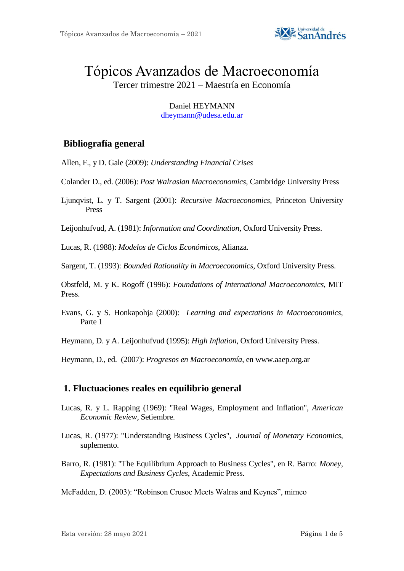

# Tópicos Avanzados de Macroeconomía

Tercer trimestre 2021 – Maestría en Economía

Daniel HEYMANN [dheymann@udesa.edu.ar](mailto:dheymann@udesa.edu.ar)

## **Bibliografía general**

Allen, F., y D. Gale (2009): *Understanding Financial Crises*

Colander D., ed. (2006): *Post Walrasian Macroeconomics*, Cambridge University Press

Ljunqvist, L. y T. Sargent (2001): *Recursive Macroeconomics,* Princeton University Press

Leijonhufvud, A. (1981): *Information and Coordination*, Oxford University Press.

Lucas, R. (1988): *Modelos de Ciclos Económicos*, Alianza.

Sargent, T. (1993): *Bounded Rationality in Macroeconomics*, Oxford University Press.

Obstfeld, M. y K. Rogoff (1996): *Foundations of International Macroeconomics*, MIT Press.

Evans, G. y S. Honkapohja (2000): *Learning and expectations in Macroeconomics,*  Parte 1

Heymann, D. y A. Leijonhufvud (1995): *High Inflation*, Oxford University Press.

Heymann, D., ed. (2007): *Progresos en Macroeconomía*, en www.aaep.org.ar

### **1. Fluctuaciones reales en equilibrio general**

- Lucas, R. y L. Rapping (1969): "Real Wages, Employment and Inflation", *American Economic Review*, Setiembre.
- Lucas, R. (1977): "Understanding Business Cycles", *Journal of Monetary Economics*, suplemento.
- Barro, R. (1981): "The Equilibrium Approach to Business Cycles", en R. Barro: *Money, Expectations and Business Cycles*, Academic Press.

McFadden, D. (2003): "Robinson Crusoe Meets Walras and Keynes", mimeo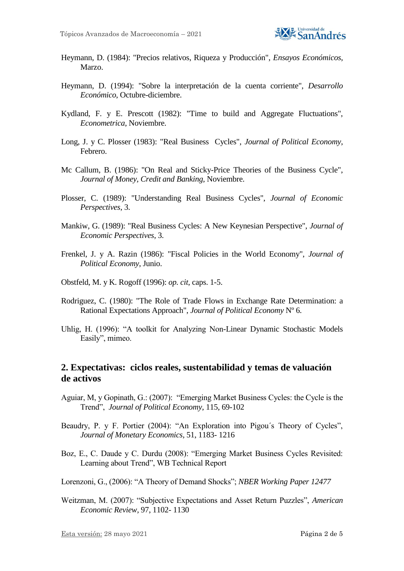

- Heymann, D. (1984): "Precios relativos, Riqueza y Producción", *Ensayos Económicos*, Marzo.
- Heymann, D. (1994): "Sobre la interpretación de la cuenta corriente", *Desarrollo Económico*, Octubre-diciembre.
- Kydland, F. y E. Prescott (1982): "Time to build and Aggregate Fluctuations", *Econometrica*, Noviembre.
- Long, J. y C. Plosser (1983): "Real Business Cycles", *Journal of Political Economy*, Febrero.
- Mc Callum, B. (1986): "On Real and Sticky-Price Theories of the Business Cycle", *Journal of Money, Credit and Banking*, Noviembre.
- Plosser, C. (1989): "Understanding Real Business Cycles", *Journal of Economic Perspectives*, 3.
- Mankiw, G. (1989): "Real Business Cycles: A New Keynesian Perspective", *Journal of Economic Perspectives*, 3.
- Frenkel, J. y A. Razin (1986): "Fiscal Policies in the World Economy", *Journal of Political Economy*, Junio.
- Obstfeld, M. y K. Rogoff (1996): *op. cit*, caps. 1-5.
- Rodriguez, C. (1980): "The Role of Trade Flows in Exchange Rate Determination: a Rational Expectations Approach", *Journal of Political Economy* Nº 6.
- Uhlig, H. (1996): "A toolkit for Analyzing Non-Linear Dynamic Stochastic Models Easily", mimeo.

#### **2. Expectativas: ciclos reales, sustentabilidad y temas de valuación de activos**

- Aguiar, M, y Gopinath, G.: (2007): "Emerging Market Business Cycles: the Cycle is the Trend", *Journal of Political Economy*, 115, 69-102
- Beaudry, P. y F. Portier (2004): "An Exploration into Pigou´s Theory of Cycles", *Journal of Monetary Economics,* 51, 1183- 1216
- Boz, E., C. Daude y C. Durdu (2008): "Emerging Market Business Cycles Revisited: Learning about Trend", WB Technical Report
- Lorenzoni, G., (2006): "A Theory of Demand Shocks"; *NBER Working Paper 12477*
- Weitzman, M. (2007): "Subjective Expectations and Asset Return Puzzles", *American Economic Review,* 97, 1102- 1130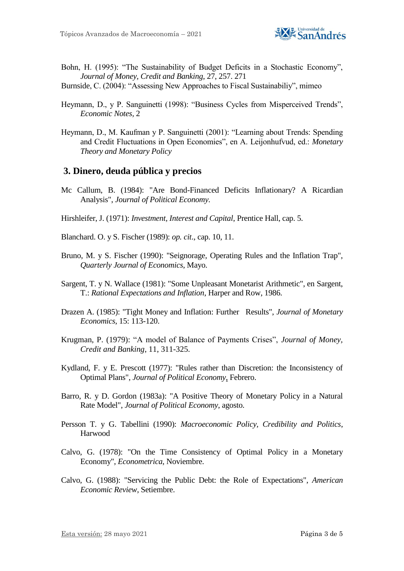

- Bohn, H. (1995): "The Sustainability of Budget Deficits in a Stochastic Economy", *Journal of Money, Credit and Banking*, 27, 257. 271
- Burnside, C. (2004): "Assessing New Approaches to Fiscal Sustainabiliy", mimeo
- Heymann, D., y P. Sanguinetti (1998): "Business Cycles from Misperceived Trends", *Economic Notes,* 2
- Heymann, D., M. Kaufman y P. Sanguinetti (2001): "Learning about Trends: Spending and Credit Fluctuations in Open Economies", en A. Leijonhufvud, ed.: *Monetary Theory and Monetary Policy*

#### **3. Dinero, deuda pública y precios**

- Mc Callum, B. (1984): "Are Bond-Financed Deficits Inflationary? A Ricardian Analysis", *Journal of Political Economy.*
- Hirshleifer, J. (1971): *Investment, Interest and Capital*, Prentice Hall, cap. 5.
- Blanchard. O. y S. Fischer (1989): *op. cit*., cap. 10, 11.
- Bruno, M. y S. Fischer (1990): "Seignorage, Operating Rules and the Inflation Trap", *Quarterly Journal of Economics*, Mayo.
- Sargent, T. y N. Wallace (1981): "Some Unpleasant Monetarist Arithmetic", en Sargent, T.: *Rational Expectations and Inflation*, Harper and Row, 1986.
- Drazen A. (1985): "Tight Money and Inflation: Further Results", *Journal of Monetary Economics*, 15: 113-120.
- Krugman, P. (1979): "A model of Balance of Payments Crises", *Journal of Money, Credit and Banking*, 11, 311-325.
- Kydland, F. y E. Prescott (1977): "Rules rather than Discretion: the Inconsistency of Optimal Plans", *Journal of Political Economy*, Febrero.
- Barro, R. y D. Gordon (1983a): "A Positive Theory of Monetary Policy in a Natural Rate Model", *Journal of Political Economy*, agosto.
- Persson T. y G. Tabellini (1990): *Macroeconomic Policy, Credibility and Politics*, Harwood
- Calvo, G. (1978): "On the Time Consistency of Optimal Policy in a Monetary Economy", *Econometrica*, Noviembre.
- Calvo, G. (1988): "Servicing the Public Debt: the Role of Expectations", *American Economic Review*, Setiembre.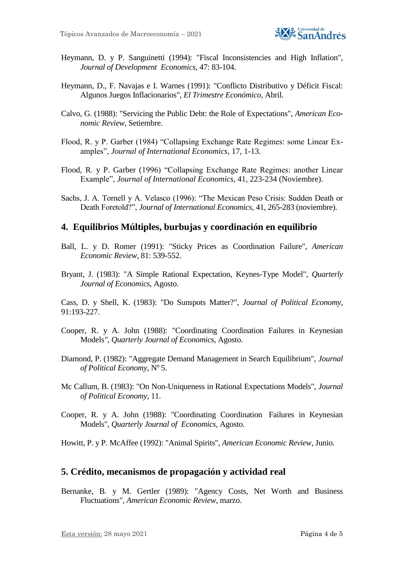

- Heymann, D. y P. Sanguinetti (1994): "Fiscal Inconsistencies and High Inflation", *Journal of Development Economics*, 47: 83-104.
- Heymann, D., F. Navajas e I. Warnes (1991): "Conflicto Distributivo y Déficit Fiscal: Algunos Juegos Inflacionarios", *El Trimestre Económico*, Abril.
- Calvo, G. (1988): "Servicing the Public Debt: the Role of Expectations", *American Economic Review*, Setiembre.
- Flood, R. y P. Garber (1984) "Collapsing Exchange Rate Regimes: some Linear Examples", *Journal of International Economics*, 17, 1-13.
- Flood, R. y P. Garber (1996) "Collapsing Exchange Rate Regimes: another Linear Example", *Journal of International Economics*, 41, 223-234 (Noviembre).
- Sachs, J. A. Tornell y A. Velasco (1996): "The Mexican Peso Crisis: Sudden Death or Death Foretold?", *Journal of International Economics*, 41, 265-283 (noviembre).

#### **4. Equilibrios Múltiples, burbujas y coordinación en equilibrio**

- Ball, L. y D. Romer (1991): "Sticky Prices as Coordination Failure", *American Economic Review*, 81: 539-552.
- Bryant, J. (1983): "A Simple Rational Expectation, Keynes-Type Model", *Quarterly Journal of Economics*, Agosto.

Cass, D. y Shell, K. (1983): "Do Sunspots Matter?", *Journal of Political Economy*, 91:193-227.

- Cooper, R. y A. John (1988): "Coordinating Coordination Failures in Keynesian Models*", Quarterly Journal of Economics*, Agosto.
- Diamond, P. (1982): "Aggregate Demand Management in Search Equilibrium", *Journal of Political Economy*, Nº 5.
- Mc Callum, B. (1983): "On Non-Uniqueness in Rational Expectations Models", *Journal of Political Economy*, 11.
- Cooper, R. y A. John (1988): "Coordinating Coordination Failures in Keynesian Models", *Quarterly Journal of Economics*, Agosto.

Howitt, P. y P. McAffee (1992): "Animal Spirits", *American Economic Review*, Junio.

#### **5. Crédito, mecanismos de propagación y actividad real**

Bernanke, B. y M. Gertler (1989): "Agency Costs, Net Worth and Business Fluctuations", *American Economic Review*, marzo.